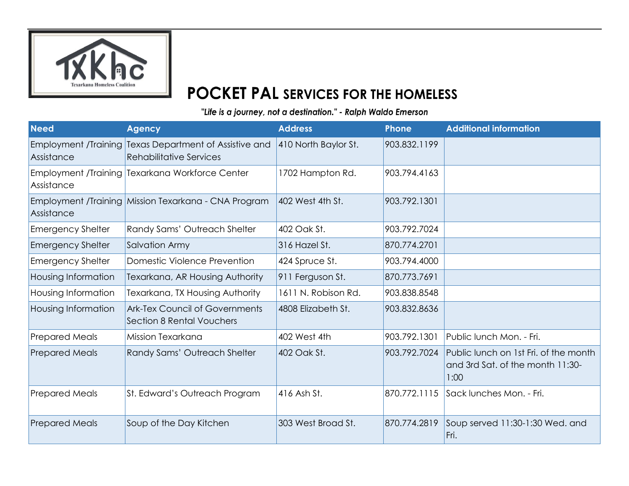

## **POCKET PAL SERVICES FOR THE HOMELESS**

"Life is a journey, not a destination." - Ralph Waldo Emerson

| <b>Need</b>              | <b>Agency</b>                                                                            | <b>Address</b>       | <b>Phone</b> | <b>Additional information</b>                                                     |
|--------------------------|------------------------------------------------------------------------------------------|----------------------|--------------|-----------------------------------------------------------------------------------|
| Assistance               | Employment /Training Texas Department of Assistive and<br><b>Rehabilitative Services</b> | 410 North Baylor St. | 903.832.1199 |                                                                                   |
| Assistance               | Employment /Training Texarkana Workforce Center                                          | 1702 Hampton Rd.     | 903.794.4163 |                                                                                   |
| Assistance               | Employment /Training Mission Texarkana - CNA Program                                     | 402 West 4th St.     | 903.792.1301 |                                                                                   |
| <b>Emergency Shelter</b> | Randy Sams' Outreach Shelter                                                             | 402 Oak St.          | 903.792.7024 |                                                                                   |
| <b>Emergency Shelter</b> | Salvation Army                                                                           | 316 Hazel St.        | 870.774.2701 |                                                                                   |
| <b>Emergency Shelter</b> | Domestic Violence Prevention                                                             | 424 Spruce St.       | 903.794.4000 |                                                                                   |
| Housing Information      | Texarkana, AR Housing Authority                                                          | 911 Ferguson St.     | 870.773.7691 |                                                                                   |
| Housing Information      | Texarkana, TX Housing Authority                                                          | 1611 N. Robison Rd.  | 903.838.8548 |                                                                                   |
| Housing Information      | <b>Ark-Tex Council of Governments</b><br>Section 8 Rental Vouchers                       | 4808 Elizabeth St.   | 903.832.8636 |                                                                                   |
| <b>Prepared Meals</b>    | Mission Texarkana                                                                        | 402 West 4th         | 903.792.1301 | Public lunch Mon. - Fri.                                                          |
| <b>Prepared Meals</b>    | Randy Sams' Outreach Shelter                                                             | 402 Oak St.          | 903.792.7024 | Public lunch on 1st Fri. of the month<br>and 3rd Sat. of the month 11:30-<br>1:00 |
| <b>Prepared Meals</b>    | St. Edward's Outreach Program                                                            | 416 Ash St.          | 870.772.1115 | Sack lunches Mon. - Fri.                                                          |
| <b>Prepared Meals</b>    | Soup of the Day Kitchen                                                                  | 303 West Broad St.   | 870.774.2819 | Soup served 11:30-1:30 Wed. and<br>Fri.                                           |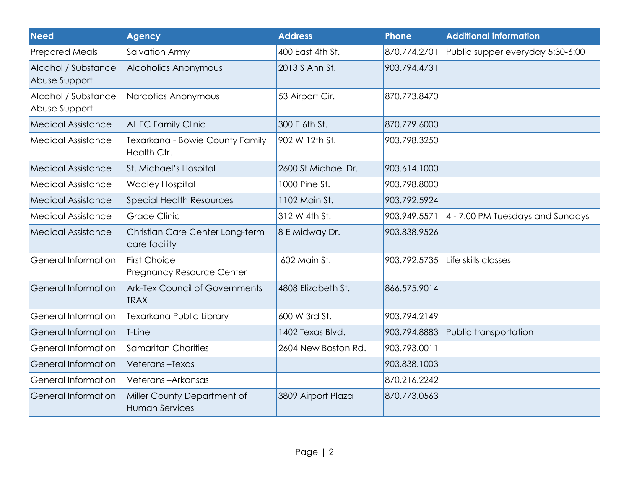| <b>Need</b>                          | <b>Agency</b>                                           | <b>Address</b>      | <b>Phone</b> | <b>Additional information</b>    |
|--------------------------------------|---------------------------------------------------------|---------------------|--------------|----------------------------------|
| <b>Prepared Meals</b>                | Salvation Army                                          | 400 East 4th St.    | 870.774.2701 | Public supper everyday 5:30-6:00 |
| Alcohol / Substance<br>Abuse Support | <b>Alcoholics Anonymous</b>                             | 2013 S Ann St.      | 903.794.4731 |                                  |
| Alcohol / Substance<br>Abuse Support | Narcotics Anonymous                                     | 53 Airport Cir.     | 870.773.8470 |                                  |
| <b>Medical Assistance</b>            | <b>AHEC Family Clinic</b>                               | 300 E 6th St.       | 870.779.6000 |                                  |
| <b>Medical Assistance</b>            | Texarkana - Bowie County Family<br>Health Ctr.          | 902 W 12th St.      | 903.798.3250 |                                  |
| <b>Medical Assistance</b>            | St. Michael's Hospital                                  | 2600 St Michael Dr. | 903.614.1000 |                                  |
| <b>Medical Assistance</b>            | <b>Wadley Hospital</b>                                  | 1000 Pine St.       | 903.798.8000 |                                  |
| <b>Medical Assistance</b>            | <b>Special Health Resources</b>                         | 1102 Main St.       | 903.792.5924 |                                  |
| <b>Medical Assistance</b>            | <b>Grace Clinic</b>                                     | 312 W 4th St.       | 903.949.5571 | 4 - 7:00 PM Tuesdays and Sundays |
| <b>Medical Assistance</b>            | Christian Care Center Long-term<br>care facility        | 8 E Midway Dr.      | 903.838.9526 |                                  |
| <b>General Information</b>           | <b>First Choice</b><br><b>Pregnancy Resource Center</b> | 602 Main St.        | 903.792.5735 | Life skills classes              |
| <b>General Information</b>           | <b>Ark-Tex Council of Governments</b><br><b>TRAX</b>    | 4808 Elizabeth St.  | 866.575.9014 |                                  |
| <b>General Information</b>           | Texarkana Public Library                                | 600 W 3rd St.       | 903.794.2149 |                                  |
| <b>General Information</b>           | T-Line                                                  | 1402 Texas Blvd.    | 903.794.8883 | Public transportation            |
| <b>General Information</b>           | Samaritan Charities                                     | 2604 New Boston Rd. | 903.793.0011 |                                  |
| <b>General Information</b>           | Veterans-Texas                                          |                     | 903.838.1003 |                                  |
| <b>General Information</b>           | Veterans-Arkansas                                       |                     | 870.216.2242 |                                  |
| <b>General Information</b>           | Miller County Department of<br><b>Human Services</b>    | 3809 Airport Plaza  | 870.773.0563 |                                  |